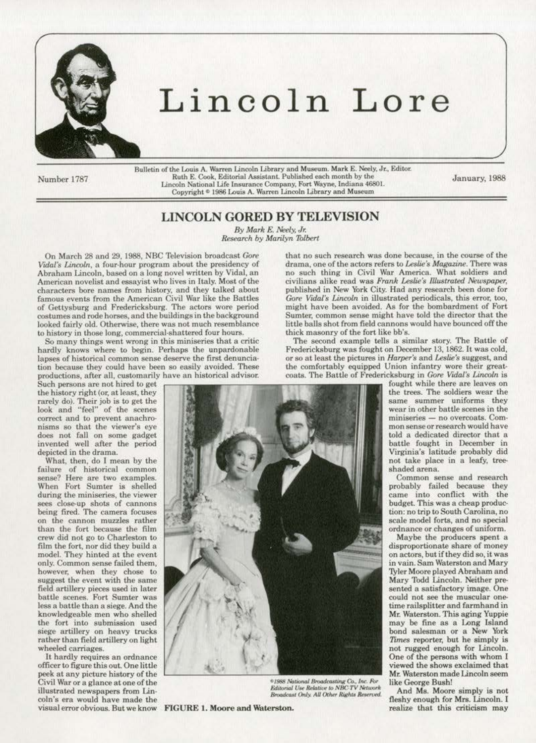

# Lincoln Lore

Number 1787

Bulletin of the Louis A. Warren Lincoln Library and Museum. Mark E. Neely, Jr., Editor. Ruth E. Cook, Editorial Assistant. Published each month by the Lincoln National Life Insurance Company, Fort Wayne, Indiana 46801.<br>Copyright © 1986 Louis A. Warren Lincoln Library and Museum

January, 1988

## UNCOLN GORED BY TELEVISION

By Mark E. Neely, Jr. *Resoorch by Marilyn 1blbert* 

Vidal's Lincoln, a four-hour program about the presidency of drama, one of the actors refers to Leslie's Magazine. There was<br>Abraham Lincoln, based on a long novel written by Vidal, an how such thing in Civil War America. Abraham Lincoln, based on a long novel written by Vidal, an no such thing in Civil War America. What soldiers and<br>American novelist and essayist who lives in Italy. Most of the civilians alike read was Frank Leslie's Illus characters bore names from history, and they talked about published in New York City. Had any research been done for<br>famous events from the American Civil War like the Battles Gore Vidal's Lincoln in illustrated periodical famous events from the American Civil War like the Battles Gore Vidal's Lincoln in illustrated periodicals, this error, too, of Gettysburg and Fredericksburg. The actors wore period might have been avoided. As for the bomb of Gettysburg and Fredericksburg. The actors wore period might have been avoided. As for the bombardment of Fort<br>costumes and rode horses and the buildings in the background Sumter, common sense might have told the directo costumes and rode horses, and the buildings in the background Sumter, common sense might- have told the director that the looked fairly old. Otherwise, there was not much resemblance little balls shot from field cannons wo looked fairly old. Otherwise, there was not much resemblance little balls shot from field cannons to history in those long, commercial-shattered four hours. Whick masonry of the fort like bb's.

So many things went wrong in this miniseries that a critic hardly knows where to begin. Perhaps the unpardonable tion because they could have been so easily avoided. These productions, after all, customarily have an historical advisor.

does not fall on some gadget<br>invented well after the period

sees close-up shots of cannons<br>being fired. The camera focuses film the fort, nor did they build a model. They hinted at the event only. Common sense failed them,<br>however, when they chose to less a battle than a siege. And the<br>knowledgeable men who shelled

peek at any picture history of the Mr. Waterston made Uncoln seemed to the Mr. Waterston made Uncoln seemed Uncoln seemed the Mr. Waterston made Uncoln seemed Uncoln seemed Uncoln seemed Uncoln seemed Uncoln seemed Uncoln Civil War or a glance at one of the *• 1988 National Broadcasting Co., Inc. For* like George Bush!<br>
illustrated newspapers from Lin-<br> *Broadcast Crols, All Chier Bights Beserved* And Ms. Moore simply is not illustrated newspapers from Lin-<br>coln's era would have made the end Moore and Waterston. All Other Rights Reserved<br>visual error obvious. But we know **FIGURE 1. Moore and Waterston.** The fleshy enough for Mrs. Lincoln. I<br>re visual error obvious. But we know FIGURE 1. Moore and Waterston.

On March 28 and 29, 1988, NBC Television broadcast *Gore* **that no such research was done because**, in the course of the *drama*, *incoln*, a four-hour program about the presidency of drama, one of the actors refers to *Le* to history in those long, commercial-shattered four hours. thick masonry of the fort like bb's.<br>So many things went wrong in this miniseries that a critic The second example tells a similar story. The Battle of

Fredericksburg was fought on December 13, 1862. It was cold, or so at least the pictures in *Harper's* and *Leslie's* suggest, and lapses of historical common sense deserve the first denuncia-<br>tion because they could have been so easily avoided. These the comfortably equipped Union infantry wore their greatproductions, after all, customarily have an historical advisor. coats. The Battle of Fredericksburg in *Gore Vidal's Lincoln* is<br>Such persons are not hired to get

fought while there are leaves on<br>the trees. The soldiers wear the Virginia's latitude probably did<br>not take place in a leafy, tree-

came into conflict with the budget. This was a cheap production: no trip to South Carolina, no<br>scale model forts, and no special

on actors, but if they did so, it was<br>in vain. Sam Waterston and Mary Tyler Moore played Abraham and<br>Mary Todd Lincoln. Neither pre-Mr. Waterston. This aging Yuppie<br>may be fine as a Long Island viewed the shows exclaimed that<br>Mr. Waterston made Lincoln seem

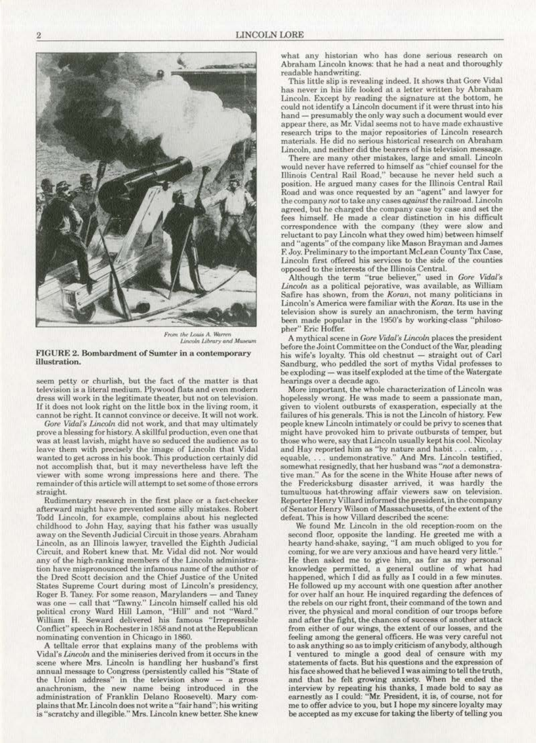

From the Louis A. Warren *Lincoln Library and Museum* 

#### FIGURE 2. Bombardment of Sumter in a contemporary illustration.

seem petty or churlish, but the fact of the matter is that television is a literal medium. Plywood flats and even modern dress will work in the legitimate theater, but not on television. If it docs not look right on the little box in the living room. it cannot be right. It cannot convince or deceive. It will not work.

Gore Vidal's Lincoln did not work, and that may ultimately prove a blessing for history. A skillful production, even one that was at least lavish, might have so seduced the audience as to leave them with precisely the image of Lincoln that Vidal wanted to get across in his book. This production certainly did not accomplish that, but it may nevertheless have left the viewer with some wrong impressions here and there. The remainder of this article will attempt to set some of those errors straight..

Rudimentary research in the first place or a fact-checker afterward might have prevented some silly mistakes. Robert Todd Lincoln, for example, complains about his neglected childhood to John Hay, saying that his father was usually away on the Seventh Judicial Circuit in those years. Abraham Lincoln, as an Tllinois lawyer. travelled the Eighth Judicial Circuit, and Robert knew that. Mr. Vidal did not. Nor would any of the high-ranking members of the Lincoln administration have mispronounced the infamous name of the author of the Dred Scott decision and the Chief Justice of the United States Supreme Court during most or Lincoln's presidency, Roger B. Taney. For some reason, Marylanders - and Taney was one - call that "Tawny." Lincoln himself called his old political crony Ward Hill Lamon, "Hill" and not "Ward." William H. Seward delivered his famous "Irrepressible Conflict" speech in Rochester in 1858and notatthe Republican nominating convention in Chicago in 1860.

A telltale error that explains many of the problems with Vidal's *Lincoln* and the miniseries derived from it occurs in the scene where Mrs. Lincoln is handling her husband's first annual message to Congress (persistently called his "State of the Union address" in the television show  $-$  a gross anachronism, the new name being introduced in the plains that Mr. Lincoln does not write a "fair hand"; his writing is "scratchy and illegible." Mrs. Lincoln knew better. She knew

what any historian who has done serious research on Abraham Lincoln knows: that he had a neat and thoroughly readoble handwriting.

This little slip is revealing indeed. It shows that Gore Vidal has never in his life looked at a letter written by Abraham Lincoln. Except by reading the signature at the bottom, he could not identify a Lincoln document if it were thrust into his hand - presumably the only way such a document would ever appear there, as Mr. Vidal seems not to have made exhaustive research trips to the major repositories of Lincoln research materials. He did no serious historical research on Abraham Lincoln, and neither did the bearers of his television message.

There are many other mistakes, large and small. Lincoln would never have referred to himself as "chief counsel for the position. He argued many cases for the Illinois Central Rail Road and *was* once requested by an "agent" and lawyer for the company not to take any cases against the railroad. Lincoln agreed, but he charged the company case by case and set the fees himself. He made a clear distinction in his difficult correspondence with the company (they were slow and reluctant to pay Lincoln what they owed him) between himself and "agents" of the company like Mason Brayman and James F. Joy. Preliminary to the important McLean County Tax Case, Lincoln first offered his services to the side of the counties opposed to the interests of the Illinois Central.

Although the term "true believer," used in Gore Vidal's Lincoln as a political pejorative, was available, as William Satire has shown, from the *Koran,* not many politicians in Lincoln's America were familiar with the Koran. Its use in the television show is surely an anachronism, the term having been made popular in the 1950's by working-class "philosopher" Eric Hoffer.

A mythical scene in Gore Vidal's Lincoln places the president before the Joint Committee on the Conduct of the War, pleading his wife's loyalty. This old chestnut - straight out of Carl Sandburg, who peddled the sort of myths Vidal professes to be exploding - was itself exploded at the time of the Watergate hearings over a decade ago.

More important, the whole characterization of Lincoln was hopelessly wrong. He was made to seem a passionate man, given to violent outbursts of exasperation, especially at the failures of his generals. This is not the Lincoln of history. Few people knew Lincoln intimately or could be privy to scenes that might have provoked him to private outbursts of temper, but those who were, say that Lincoln usually kept his cool. Nicolay and Hay reported him as "by nature and habit . . . calm, . . equable, ... undemonstrative." And Mrs. Lincoln testified, somewhat resignedly, that her husband was "not a demonstrative man." As for the scene in the White House after news of the Fredericksburg disaster arrived, it was hardly the tumultuous hat-throwing affair viewers saw on television. Reporter Henry Villard informed the president, in the company of Senator Henry Wilson of Massachusetts, of the extent of the defeat. This is how Villard deseribed the scene:

We found Mr. Lincoln in the old reception-room on the second floor, opposite the landing. He greeted me with a hearty hand-shake, saying, "I am much obliged to you for coming, for we are very anxious and have heard very little.'' He then asked me to give him, as far as my personal knowledge permitted, a general outline of what had happened, which I did as fully as I could in a few minutes. He followed up my account with one question after another for over half an hour. He inquired regarding the defences of the rebels on our right front, their command of the town and river, the physical and moral condition of our troops before and after the fight, the chances of success of another attack from either of our wings, the extent of our losses, and the feeling among the general officers. He was very careful not to ask anything so as to imply criticism of anybody, although I ventured to mingle a good deal of censure with my statements of facts. But his questions and the expression of his face showed that he believed I was aiming to tell the truth, and that he felt growing anxiety. When he ended the interview by repeating his thanks, I made bold to say as earnestly as I could: "Mr. President, it is, of course, not for me to offer advice to you, but J hope my sincere loyalty may be accepted as my excuse for taking the liberty of telling you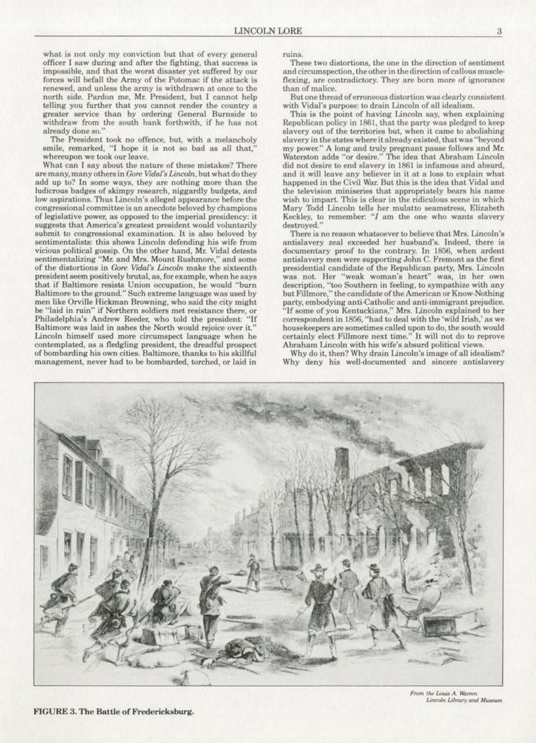what is not only my conviction but that of every general officer I saw during and after the fighting, that success is impossible, and that the worst disaster yet suffered by our forces will befall the Army of the Potomac if the attack is renewed, and unless the army is withdrawn at once to the north side. Pardon me, Mr. President, but I cannot help telling you further that you cannot render the country a greater service than by ordering General Burnside to withdraw from the south bank forthwith, if he has not already done so."

The President took no offence, but, with a melancholy smile, remarked, "I hope it is not so bad as all that," whereupon we took our leave.

What can I say about the nature of these mistakes? There are many, many others in *Gore Vidal's Lincoln*, but what do they add up to? In some ways, they are nothing more than the ludicrous badges of skimpy research, niggardly budgets, and low aspirations. Thus Lincoln's alleged appearance before the congressional committee is an anecdote beloved by champions of legislative power, as opposed to the imperial presidency: it suggests that America's greatest president would voluntarily submit to congressional examination. It is also beloved by sentimentalists: this shows Lincoln defending his wife from vicious political gossip. On the other hand, Mr. Vidal detests sentimentalizing "Mr. and Mrs. Mount Rushmore,'' and some of the distortions in *Gore Vuial's Lincoln* make the sixteenth president seem positively brutal, as, for example, when he says that. if Baltimore resists Union occupation, he would ''burn Baltimore to the ground.'' Such extreme language was used by men like Orville Hickman Browning, who said the city might be "laid in ruin" if Northern soldiers met resistance there. or Philadelphia's Andrew Reeder, who told the president: "lf Baltimore was laid in ashes the North would rejoice over it." Lincoln himself used more circumspect language when he contemplated, as a fledgling president, the dreadful prospect of bombarding his own cities. Baltimore. thanks to his skillful management, never had to be bombarded, torched, or laid in

ruins.

These two distortions, the one in the direction of sentiment. and circumspection, the other in the direction of callous muscleflexing, are contradictory. They are born more of ignorance than of malice.

But one thread of erroneous distortion was clearly consistent with Vidal's purpose: to drain Lincoln of all idealism.

This is the point of having Lincoln say, when explaining Republican policy in 1861, that the party was pledged to keep slavery out of the territories but, when it came to abolishing slavery in the states where it already existed, that was "beyond my power." A long and truly pregnant pause follows and Mr. Waterston adds "or desire." The idea that Abraham Lincoln did not desire to end slavery in 1861 is infamous and absurd, and it will leave any believer in it at a loss to explain what happened in the Civil War. But this is the idea that Vidal and the television miniseries that appropriately bears his name wish to impart. This is clear in the ridiculous scene in which Mary Todd Lincoln tells her mulatto seamstress. Elizabeth Keckley, to remember: " $I$  am the one who wants slavery destroyed."

There is no reason whatsoever to believe that Mrs. Lincoln's antislavery zea1 exceeded her husband's. Indeed, there is documentary proof to the contrary. In 1856, when ardent antislavery men were supporting John C. Fremont as the first presidential candidate of the Republican party, Mrs. Lincoln was not. Her "weak woman's heart" was, in her own description, "too Southern in feeling, to sympathize with any but Fillmore,'' the candidate of the American or Know. Nothing party. embodying anti·Catholic and anti·immigrant prejudice. ''If some of you Kentuckians.'' Mrs. Lincoln explained to her correspondent in 1856, "had to deal with the 'wild Irish,' as we housekeepers are sometimes called upon to do, the south would certainly elect Fillmore next time." It will not do to reprove Abraham Lincoln with his wife's absurd political views.

Why do it, then? Why drain Lincoln's image of all idealism? Why deny his well-documented and sincere antislavery



From the Louis A. Warren Lincoln Library and Museum